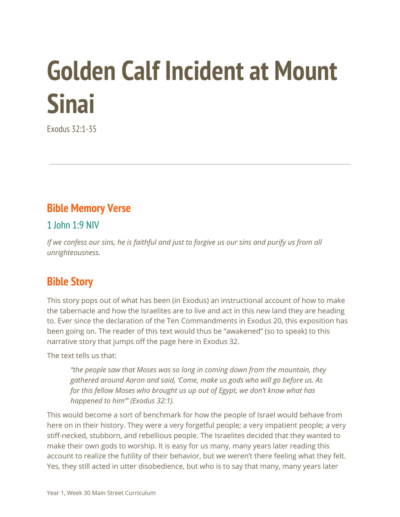# **Golden Calf Incident at Mount Sinai**

Exodus 32:1-35

#### **Bible Memory Verse**

1  $1$ ohn  $1.9$  NIV

If we confess our sins, he is faithful and just to forgive us our sins and purify us from all *unrighteousness.*

## **Bible Story**

This story pops out of what has been (in Exodus) an instructional account of how to make the tabernacle and how the Israelites are to live and act in this new land they are heading to. Ever since the declaration of the Ten Commandments in Exodus 20, this exposition has been going on. The reader of this text would thus be "awakened" (so to speak) to this narrative story that jumps off the page here in Exodus 32.

The text tells us that:

*"the people saw that Moses was so long in coming down from the mountain, they gathered around Aaron and said, 'Come, make us gods who will go before us. As for this fellow Moses who brought us up out of Egypt, we don't know what has happened to him'" (Exodus 32:1).*

This would become a sort of benchmark for how the people of Israel would behave from here on in their history. They were a very forgetful people; a very impatient people; a very stiff-necked, stubborn, and rebellious people. The Israelites decided that they wanted to make their own gods to worship. It is easy for us many, many years later reading this account to realize the futility of their behavior, but we weren't there feeling what they felt. Yes, they still acted in utter disobedience, but who is to say that many, many years later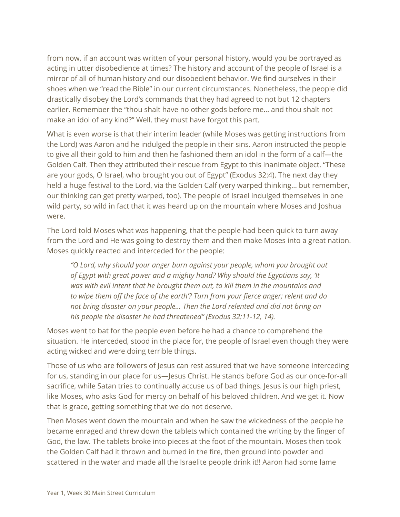from now, if an account was written of your personal history, would you be portrayed as acting in utter disobedience at times? The history and account of the people of Israel is a mirror of all of human history and our disobedient behavior. We find ourselves in their shoes when we "read the Bible" in our current circumstances. Nonetheless, the people did drastically disobey the Lord's commands that they had agreed to not but 12 chapters earlier. Remember the "thou shalt have no other gods before me… and thou shalt not make an idol of any kind?" Well, they must have forgot this part.

What is even worse is that their interim leader (while Moses was getting instructions from the Lord) was Aaron and he indulged the people in their sins. Aaron instructed the people to give all their gold to him and then he fashioned them an idol in the form of a calf—the Golden Calf. Then they attributed their rescue from Egypt to this inanimate object. "These are your gods, O Israel, who brought you out of Egypt" (Exodus 32:4). The next day they held a huge festival to the Lord, via the Golden Calf (very warped thinking… but remember, our thinking can get pretty warped, too). The people of Israel indulged themselves in one wild party, so wild in fact that it was heard up on the mountain where Moses and Joshua were.

The Lord told Moses what was happening, that the people had been quick to turn away from the Lord and He was going to destroy them and then make Moses into a great nation. Moses quickly reacted and interceded for the people:

*"O Lord, why should your anger burn against your people, whom you brought out of Egypt with great power and a mighty hand? Why should the Egyptians say, 'It was with evil intent that he brought them out, to kill them in the mountains and to wipe them off the face of the earth'? Turn from your fierce anger; relent and do not bring disaster on your people… Then the Lord relented and did not bring on his people the disaster he had threatened" (Exodus 32:11-12, 14).*

Moses went to bat for the people even before he had a chance to comprehend the situation. He interceded, stood in the place for, the people of Israel even though they were acting wicked and were doing terrible things.

Those of us who are followers of Jesus can rest assured that we have someone interceding for us, standing in our place for us—Jesus Christ. He stands before God as our once-for-all sacrifice, while Satan tries to continually accuse us of bad things. Jesus is our high priest, like Moses, who asks God for mercy on behalf of his beloved children. And we get it. Now that is grace, getting something that we do not deserve.

Then Moses went down the mountain and when he saw the wickedness of the people he became enraged and threw down the tablets which contained the writing by the finger of God, the law. The tablets broke into pieces at the foot of the mountain. Moses then took the Golden Calf had it thrown and burned in the fire, then ground into powder and scattered in the water and made all the Israelite people drink it!! Aaron had some lame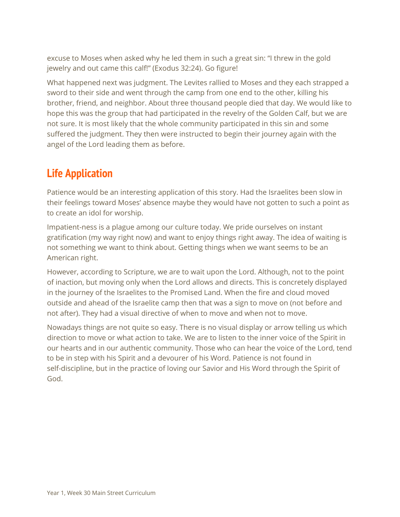excuse to Moses when asked why he led them in such a great sin: "I threw in the gold jewelry and out came this calf!" (Exodus 32:24). Go figure!

What happened next was judgment. The Levites rallied to Moses and they each strapped a sword to their side and went through the camp from one end to the other, killing his brother, friend, and neighbor. About three thousand people died that day. We would like to hope this was the group that had participated in the revelry of the Golden Calf, but we are not sure. It is most likely that the whole community participated in this sin and some suffered the judgment. They then were instructed to begin their journey again with the angel of the Lord leading them as before.

## **Life Application**

Patience would be an interesting application of this story. Had the Israelites been slow in their feelings toward Moses' absence maybe they would have not gotten to such a point as to create an idol for worship.

Impatient-ness is a plague among our culture today. We pride ourselves on instant gratification (my way right now) and want to enjoy things right away. The idea of waiting is not something we want to think about. Getting things when we want seems to be an American right.

However, according to Scripture, we are to wait upon the Lord. Although, not to the point of inaction, but moving only when the Lord allows and directs. This is concretely displayed in the journey of the Israelites to the Promised Land. When the fire and cloud moved outside and ahead of the Israelite camp then that was a sign to move on (not before and not after). They had a visual directive of when to move and when not to move.

Nowadays things are not quite so easy. There is no visual display or arrow telling us which direction to move or what action to take. We are to listen to the inner voice of the Spirit in our hearts and in our authentic community. Those who can hear the voice of the Lord, tend to be in step with his Spirit and a devourer of his Word. Patience is not found in self-discipline, but in the practice of loving our Savior and His Word through the Spirit of God.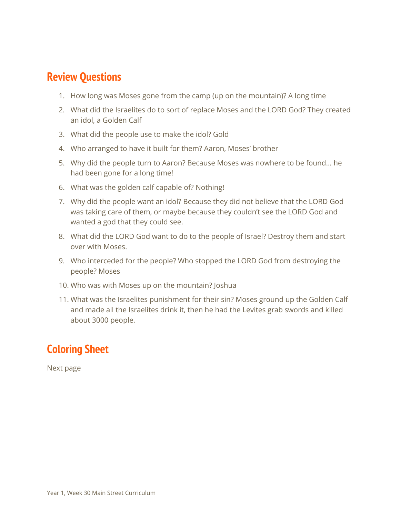#### **Review Questions**

- 1. How long was Moses gone from the camp (up on the mountain)? A long time
- 2. What did the Israelites do to sort of replace Moses and the LORD God? They created an idol, a Golden Calf
- 3. What did the people use to make the idol? Gold
- 4. Who arranged to have it built for them? Aaron, Moses' brother
- 5. Why did the people turn to Aaron? Because Moses was nowhere to be found… he had been gone for a long time!
- 6. What was the golden calf capable of? Nothing!
- 7. Why did the people want an idol? Because they did not believe that the LORD God was taking care of them, or maybe because they couldn't see the LORD God and wanted a god that they could see.
- 8. What did the LORD God want to do to the people of Israel? Destroy them and start over with Moses.
- 9. Who interceded for the people? Who stopped the LORD God from destroying the people? Moses
- 10. Who was with Moses up on the mountain? Joshua
- 11. What was the Israelites punishment for their sin? Moses ground up the Golden Calf and made all the Israelites drink it, then he had the Levites grab swords and killed about 3000 people.

## **Coloring Sheet**

Next page